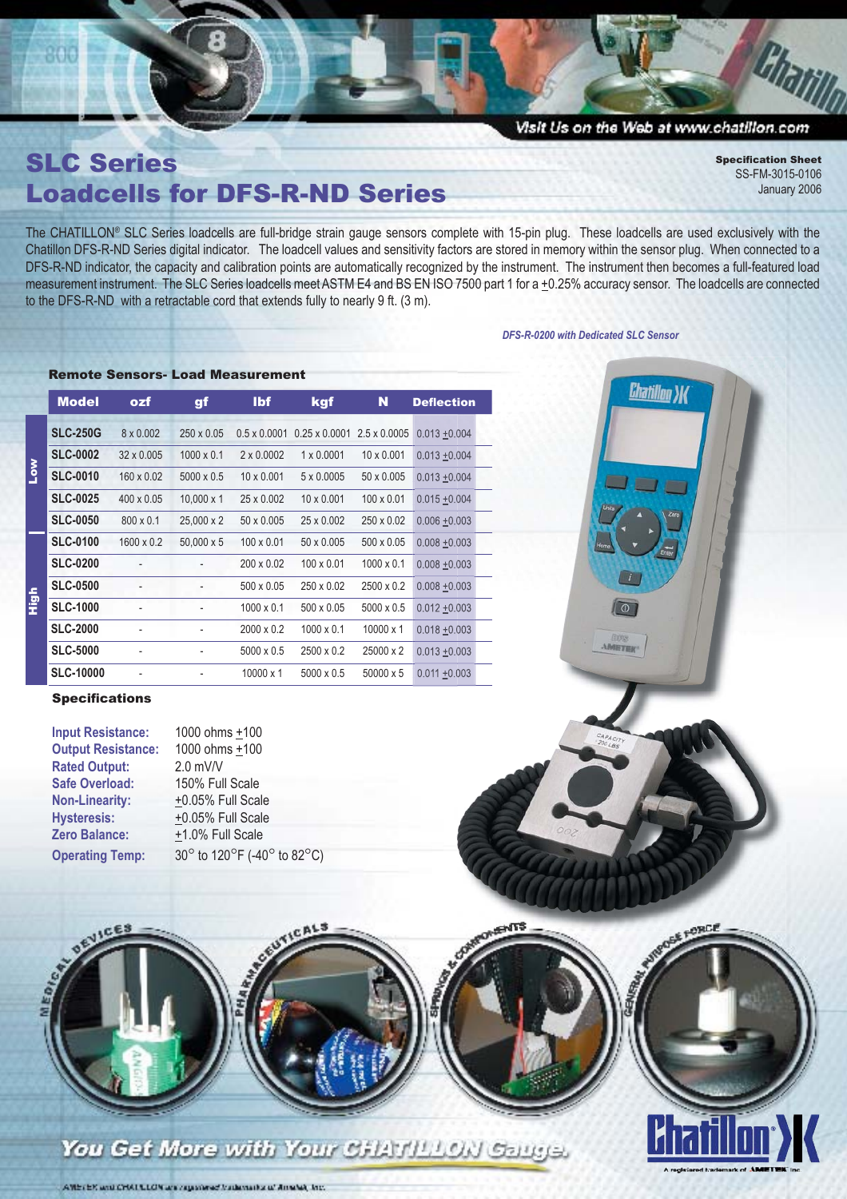# Visit Us on the Web at www.chatillon.com

**Chatillon X** 

**De** 

SLC Series Loadcells for DFS-R-ND Series

Remote Sensors- Load Measurement

**Specification Sheet** SS-FM-3015-0106 January 2006

Charill

The CHATILLON® SLC Series loadcells are full-bridge strain gauge sensors complete with 15-pin plug. These loadcells are used exclusively with the Chatillon DFS-R-ND Series digital indicator. The loadcell values and sensitivity factors are stored in memory within the sensor plug. When connected to a DFS-R-ND indicator, the capacity and calibration points are automatically recognized by the instrument. The instrument then becomes a full-featured load measurement instrument. The SLC Series loadcells meet ASTM E4 and BS EN ISO 7500 part 1 for a +0.25% accuracy sensor. The loadcells are connected to the DFS-R-ND with a retractable cord that extends fully to nearly 9 ft. (3 m).

### *DFS-R-0200 with Dedicated SLC Sensor*

|                       | <b>Model</b>     | ozf               | gf                       | <b>Ibf</b>          | kgf                                      | N                 | <b>Deflection</b> |
|-----------------------|------------------|-------------------|--------------------------|---------------------|------------------------------------------|-------------------|-------------------|
|                       | <b>SLC-250G</b>  | 8 x 0.002         | $250 \times 0.05$        | $0.5 \times 0.0001$ | $0.25 \times 0.0001$ 2.5 $\times$ 0.0005 |                   | $0.013 + 0.004$   |
|                       | <b>SLC-0002</b>  | $32 \times 0.005$ | $1000 \times 0.1$        | $2 \times 0.0002$   | $1 \times 0.0001$                        | $10 \times 0.001$ | $0.013 + 0.004$   |
| <b>No<sub>T</sub></b> | <b>SLC-0010</b>  | 160 x 0.02        | $5000 \times 0.5$        | $10 \times 0.001$   | 5 x 0.0005                               | 50 x 0.005        | $0.013 + 0.004$   |
|                       | <b>SLC-0025</b>  | $400 \times 0.05$ | $10.000 \times 1$        | 25 x 0.002          | $10 \times 0.001$                        | $100 \times 0.01$ | $0.015 + 0.004$   |
|                       | <b>SLC-0050</b>  | $800 \times 0.1$  | 25,000 x 2               | 50 x 0.005          | 25 x 0.002                               | 250 x 0.02        | $0.006 + 0.003$   |
|                       | <b>SLC-0100</b>  | $1600 \times 0.2$ | 50,000 x 5               | $100 \times 0.01$   | 50 x 0.005                               | 500 x 0.05        | $0.008 + 0.003$   |
|                       | <b>SLC-0200</b>  |                   | $\overline{\phantom{a}}$ | 200 x 0.02          | $100 \times 0.01$                        | $1000 \times 0.1$ | $0.008 + 0.003$   |
|                       | <b>SLC-0500</b>  |                   |                          | 500 x 0.05          | 250 x 0.02                               | 2500 x 0.2        | $0.008 + 0.003$   |
| igi<br>E              | <b>SLC-1000</b>  |                   |                          | $1000 \times 0.1$   | 500 x 0.05                               | $5000 \times 0.5$ | $0.012 + 0.003$   |
|                       | <b>SLC-2000</b>  |                   |                          | $2000 \times 0.2$   | $1000 \times 0.1$                        | $10000 \times 1$  | $0.018 + 0.003$   |
|                       | <b>SLC-5000</b>  |                   |                          | 5000 x 0.5          | 2500 x 0.2                               | 25000 x 2         | $0.013 + 0.003$   |
|                       | <b>SLC-10000</b> |                   |                          | $10000 \times 1$    | $5000 \times 0.5$                        | 50000 x 5         | $0.011 + 0.003$   |

## **Specifications**

| <b>Input Resistance:</b>  | 1000 ohms +100              |
|---------------------------|-----------------------------|
| <b>Output Resistance:</b> | 1000 ohms +100              |
| <b>Rated Output:</b>      | $2.0$ mV/V                  |
| <b>Safe Overload:</b>     | 150% Full Scale             |
| <b>Non-Linearity:</b>     | +0.05% Full Scale           |
| <b>Hysteresis:</b>        | +0.05% Full Scale           |
| <b>Zero Balance:</b>      | +1.0% Full Scale            |
| <b>Operating Temp:</b>    | 30° to 120°F (-40° to 82°C) |



 $\overline{a}$ 

*<u>IMETER</u>* 



You Get More with Your CHATILLON Gauge.